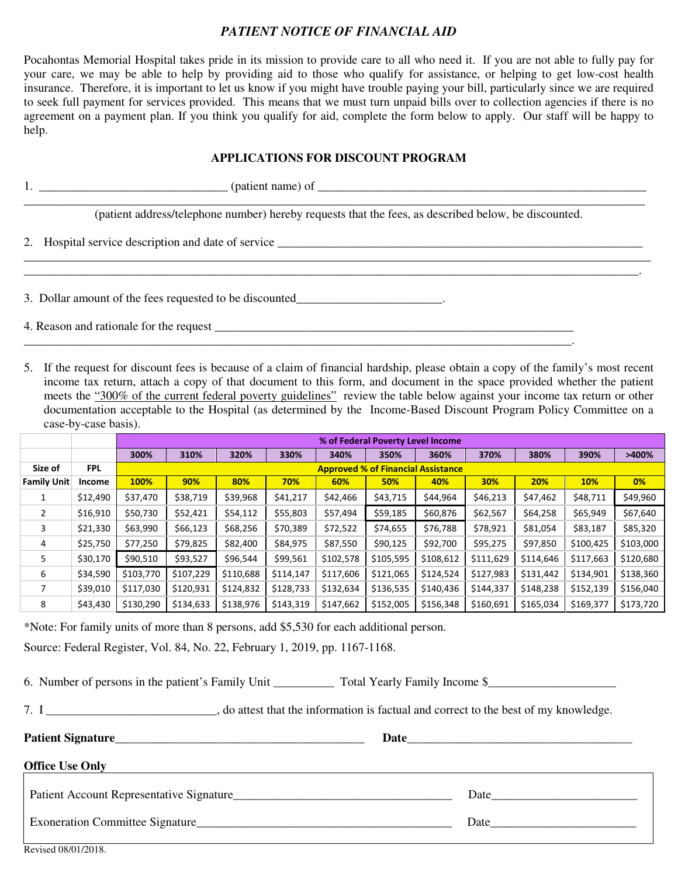## *PATIENT NOTICE OF FINANCIAL AID*

Pocahontas Memorial Hospital takes pride in its mission to provide care to all who need it. If you are not able to fully pay for your care, we may be able to help by providing aid to those who qualify for assistance, or helping to get low-cost health insurance. Therefore, it is important to let us know if you might have trouble paying your bill, particularly since we are required to seek full payment for services provided. This means that we must turn unpaid bills over to collection agencies if there is no agreement on a payment plan. If you think you qualify for aid, complete the form below to apply. Our staff will be happy to help.

## **APPLICATIONS FOR DISCOUNT PROGRAM**

| 1. $\frac{1}{2}$ (patient name) of $\frac{1}{2}$ (patient name) of $\frac{1}{2}$                     |  |  |  |  |  |  |  |  |
|------------------------------------------------------------------------------------------------------|--|--|--|--|--|--|--|--|
| (patient address/telephone number) hereby requests that the fees, as described below, be discounted. |  |  |  |  |  |  |  |  |
|                                                                                                      |  |  |  |  |  |  |  |  |
| 3. Dollar amount of the fees requested to be discounted                                              |  |  |  |  |  |  |  |  |
| 4. Reason and rationale for the request                                                              |  |  |  |  |  |  |  |  |

5. If the request for discount fees is because of a claim of financial hardship, please obtain a copy of the family's most recent income tax return, attach a copy of that document to this form, and document in the space provided whether the patient meets the "300% of the current federal poverty guidelines" review the table below against your income tax return or other documentation acceptable to the Hospital (as determined by the Income-Based Discount Program Policy Committee on a case-by-case basis).

\_\_\_\_\_\_\_\_\_\_\_\_\_\_\_\_\_\_\_\_\_\_\_\_\_\_\_\_\_\_\_\_\_\_\_\_\_\_\_\_\_\_\_\_\_\_\_\_\_\_\_\_\_\_\_\_\_\_\_\_\_\_\_\_\_\_\_\_\_\_\_\_\_\_\_\_\_\_\_\_\_\_\_\_\_\_\_\_\_\_.

|                    |            | % of Federal Poverty Level Income         |           |           |           |           |           |           |           |           |            |           |  |
|--------------------|------------|-------------------------------------------|-----------|-----------|-----------|-----------|-----------|-----------|-----------|-----------|------------|-----------|--|
|                    |            | 300%                                      | 310%      | 320%      | 330%      | 340%      | 350%      | 360%      | 370%      | 380%      | 390%       | >400%     |  |
| Size of            | <b>FPL</b> | <b>Approved % of Financial Assistance</b> |           |           |           |           |           |           |           |           |            |           |  |
| <b>Family Unit</b> | Income     | 100%                                      | 90%       | 80%       | 70%       | 60%       | 50%       | 40%       | 30%       | 20%       | <b>10%</b> | $0\%$     |  |
|                    | \$12,490   | \$37,470                                  | \$38,719  | \$39,968  | \$41,217  | \$42,466  | \$43,715  | \$44,964  | \$46,213  | \$47,462  | \$48,711   | \$49,960  |  |
| 2                  | \$16,910   | \$50,730                                  | \$52,421  | \$54,112  | \$55,803  | \$57,494  | \$59,185  | \$60,876  | \$62,567  | \$64,258  | \$65,949   | \$67,640  |  |
| 3                  | \$21,330   | \$63,990                                  | \$66,123  | \$68,256  | \$70,389  | \$72,522  | \$74,655  | \$76,788  | \$78,921  | \$81,054  | \$83,187   | \$85,320  |  |
| 4                  | \$25,750   | \$77,250                                  | \$79,825  | \$82,400  | \$84,975  | \$87,550  | \$90,125  | \$92,700  | \$95,275  | \$97,850  | \$100,425  | \$103,000 |  |
| 5                  | \$30,170   | \$90.510                                  | \$93,527  | \$96,544  | \$99,561  | \$102,578 | \$105,595 | \$108,612 | \$111,629 | \$114,646 | \$117,663  | \$120,680 |  |
| 6                  | \$34,590   | \$103,770                                 | \$107,229 | \$110,688 | \$114,147 | \$117,606 | \$121,065 | \$124,524 | \$127,983 | \$131,442 | \$134,901  | \$138,360 |  |
|                    | \$39,010   | \$117,030                                 | \$120,931 | \$124,832 | \$128,733 | \$132,634 | \$136,535 | \$140,436 | \$144,337 | \$148,238 | \$152,139  | \$156,040 |  |
| 8                  | \$43,430   | \$130,290                                 | \$134,633 | \$138,976 | \$143,319 | \$147,662 | \$152,005 | \$156,348 | \$160,691 | \$165,034 | \$169,377  | \$173,720 |  |

\*Note: For family units of more than 8 persons, add \$5,530 for each additional person.

Source: Federal Register, Vol. 84, No. 22, February 1, 2019, pp. 1167-1168.

6. Number of persons in the patient's Family Unit Total Yearly Family Income \$

| 7. I<br>, do attest that the information is factual and correct to the best of my knowledge. |  |
|----------------------------------------------------------------------------------------------|--|
|----------------------------------------------------------------------------------------------|--|

Patient Signature **Date Office Use Only**  Patient Account Representative Signature\_\_\_\_\_\_\_\_\_\_\_\_\_\_\_\_\_\_\_\_\_\_\_\_\_\_\_\_\_\_\_\_\_\_\_\_ Date\_\_\_\_\_\_\_\_\_\_\_\_\_\_\_\_\_\_\_\_\_\_\_\_ Exoneration Committee Signature **Exoneration** Committee Signature **Exoneration** Date